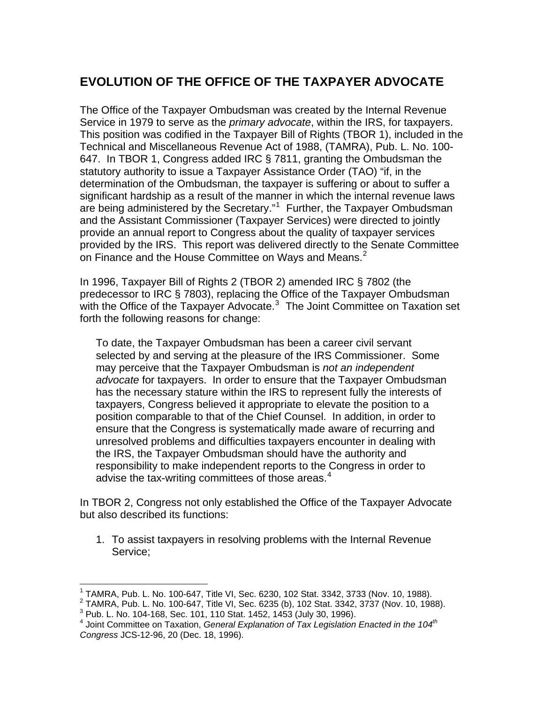## **EVOLUTION OF THE OFFICE OF THE TAXPAYER ADVOCATE**

The Office of the Taxpayer Ombudsman was created by the Internal Revenue Service in 1979 to serve as the *primary advocate*, within the IRS, for taxpayers. This position was codified in the Taxpayer Bill of Rights (TBOR 1), included in the Technical and Miscellaneous Revenue Act of 1988, (TAMRA), Pub. L. No. 100- 647. In TBOR 1, Congress added IRC § 7811, granting the Ombudsman the statutory authority to issue a Taxpayer Assistance Order (TAO) "if, in the determination of the Ombudsman, the taxpayer is suffering or about to suffer a significant hardship as a result of the manner in which the internal revenue laws are being administered by the Secretary."<sup>[1](#page-0-0)</sup> Further, the Taxpayer Ombudsman and the Assistant Commissioner (Taxpayer Services) were directed to jointly provide an annual report to Congress about the quality of taxpayer services provided by the IRS. This report was delivered directly to the Senate Committee on Finance and the House Committee on Ways and Means.<sup>[2](#page-0-1)</sup>

In 1996, Taxpayer Bill of Rights 2 (TBOR 2) amended IRC § 7802 (the predecessor to IRC § 7803), replacing the Office of the Taxpayer Ombudsman with the Office of the Taxpayer Advocate. $3$  The Joint Committee on Taxation set forth the following reasons for change:

To date, the Taxpayer Ombudsman has been a career civil servant selected by and serving at the pleasure of the IRS Commissioner. Some may perceive that the Taxpayer Ombudsman is *not an independent advocate* for taxpayers. In order to ensure that the Taxpayer Ombudsman has the necessary stature within the IRS to represent fully the interests of taxpayers, Congress believed it appropriate to elevate the position to a position comparable to that of the Chief Counsel. In addition, in order to ensure that the Congress is systematically made aware of recurring and unresolved problems and difficulties taxpayers encounter in dealing with the IRS, the Taxpayer Ombudsman should have the authority and responsibility to make independent reports to the Congress in order to advise the tax-writing committees of those areas. $4$ 

In TBOR 2, Congress not only established the Office of the Taxpayer Advocate but also described its functions:

1. To assist taxpayers in resolving problems with the Internal Revenue Service;

 $\overline{a}$ <sup>1</sup> TAMRA, Pub. L. No. 100-647, Title VI, Sec. 6230, 102 Stat. 3342, 3733 (Nov. 10, 1988). <sup>1</sup> TAMRA, Pub. L. No. 100-647, Title VI, Sec. 6230, 102 Stat. 3342, 3733 (Nov. 10, 1988).<br><sup>2</sup> TAMRA, Bub. L. No. 100 647, Title VI, Sec. 6335 (b), 103 Stat. 3342, 3737 (Nov. 10, 108

<span id="page-0-1"></span><span id="page-0-0"></span><sup>&</sup>lt;sup>2</sup> TAMRA, Pub. L. No. 100-647, Title VI, Sec. 6235 (b), 102 Stat. 3342, 3737 (Nov. 10, 1988).<br><sup>3</sup> Bub. L. No. 104 168, Sec. 101, 110 Stat. 1452, 1453 (Jub. 20, 1996).  $3$  Pub. L. No. 104-168, Sec. 101, 110 Stat. 1452, 1453 (July 30, 1996).

<span id="page-0-3"></span><span id="page-0-2"></span><sup>&</sup>lt;sup>4</sup> Joint Committee on Taxation, *General Explanation of Tax Legislation Enacted in the 104<sup>th</sup> Congress* JCS-12-96, 20 (Dec. 18, 1996).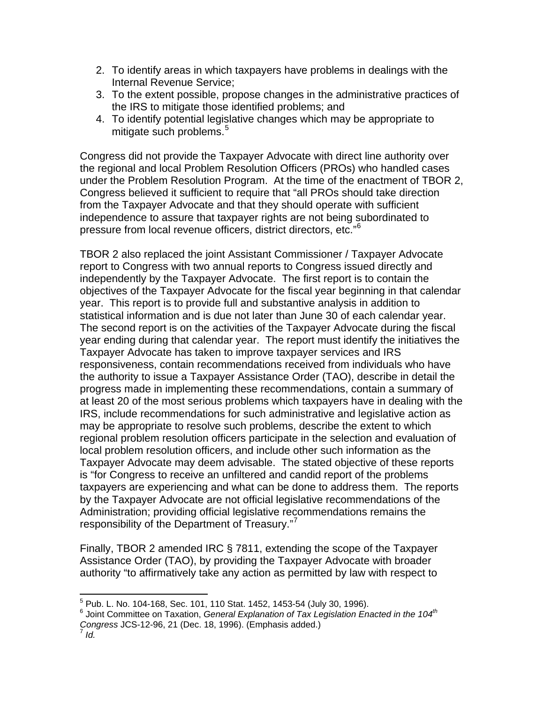- 2. To identify areas in which taxpayers have problems in dealings with the Internal Revenue Service;
- 3. To the extent possible, propose changes in the administrative practices of the IRS to mitigate those identified problems; and
- 4. To identify potential legislative changes which may be appropriate to mitigate such problems.<sup>[5](#page-1-0)</sup>

Congress did not provide the Taxpayer Advocate with direct line authority over the regional and local Problem Resolution Officers (PROs) who handled cases under the Problem Resolution Program. At the time of the enactment of TBOR 2, Congress believed it sufficient to require that "all PROs should take direction from the Taxpayer Advocate and that they should operate with sufficient independence to assure that taxpayer rights are not being subordinated to pressure from local revenue officers, district directors, etc."[6](#page-1-1)

TBOR 2 also replaced the joint Assistant Commissioner / Taxpayer Advocate report to Congress with two annual reports to Congress issued directly and independently by the Taxpayer Advocate. The first report is to contain the objectives of the Taxpayer Advocate for the fiscal year beginning in that calendar year. This report is to provide full and substantive analysis in addition to statistical information and is due not later than June 30 of each calendar year. The second report is on the activities of the Taxpayer Advocate during the fiscal year ending during that calendar year. The report must identify the initiatives the Taxpayer Advocate has taken to improve taxpayer services and IRS responsiveness, contain recommendations received from individuals who have the authority to issue a Taxpayer Assistance Order (TAO), describe in detail the progress made in implementing these recommendations, contain a summary of at least 20 of the most serious problems which taxpayers have in dealing with the IRS, include recommendations for such administrative and legislative action as may be appropriate to resolve such problems, describe the extent to which regional problem resolution officers participate in the selection and evaluation of local problem resolution officers, and include other such information as the Taxpayer Advocate may deem advisable. The stated objective of these reports is "for Congress to receive an unfiltered and candid report of the problems taxpayers are experiencing and what can be done to address them. The reports by the Taxpayer Advocate are not official legislative recommendations of the Administration; providing official legislative recommendations remains the responsibility of the Department of Treasury."[7](#page-1-2)

Finally, TBOR 2 amended IRC § 7811, extending the scope of the Taxpayer Assistance Order (TAO), by providing the Taxpayer Advocate with broader authority "to affirmatively take any action as permitted by law with respect to

<sup>&</sup>lt;u>5</u><br><sup>5</sup> Pub. L. No. 104-168, Sec. 101, 110 Stat. 1452, 1453-54 (July 30, 1996).<br><sup>6</sup> Jeint Committee on Toyotian, Conaral Evalenction of Toy Lagislation En

<span id="page-1-1"></span><span id="page-1-0"></span>Joint Committee on Taxation, *General Explanation of Tax Legislation Enacted in the 104th Congress* JCS-12-96, 21 (Dec. 18, 1996). (Emphasis added.) 7 *Id.*

<span id="page-1-2"></span>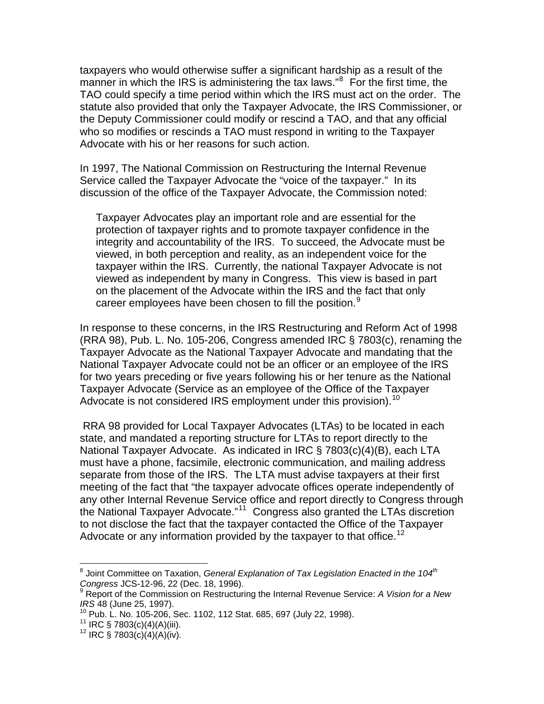taxpayers who would otherwise suffer a significant hardship as a result of the manner in which the IRS is administering the tax laws."<sup>[8](#page-2-0)</sup> For the first time, the TAO could specify a time period within which the IRS must act on the order. The statute also provided that only the Taxpayer Advocate, the IRS Commissioner, or the Deputy Commissioner could modify or rescind a TAO, and that any official who so modifies or rescinds a TAO must respond in writing to the Taxpayer Advocate with his or her reasons for such action.

In 1997, The National Commission on Restructuring the Internal Revenue Service called the Taxpayer Advocate the "voice of the taxpayer." In its discussion of the office of the Taxpayer Advocate, the Commission noted:

Taxpayer Advocates play an important role and are essential for the protection of taxpayer rights and to promote taxpayer confidence in the integrity and accountability of the IRS. To succeed, the Advocate must be viewed, in both perception and reality, as an independent voice for the taxpayer within the IRS. Currently, the national Taxpayer Advocate is not viewed as independent by many in Congress. This view is based in part on the placement of the Advocate within the IRS and the fact that only career employees have been chosen to fill the position.<sup>[9](#page-2-1)</sup>

In response to these concerns, in the IRS Restructuring and Reform Act of 1998 (RRA 98), Pub. L. No. 105-206, Congress amended IRC § 7803(c), renaming the Taxpayer Advocate as the National Taxpayer Advocate and mandating that the National Taxpayer Advocate could not be an officer or an employee of the IRS for two years preceding or five years following his or her tenure as the National Taxpayer Advocate (Service as an employee of the Office of the Taxpayer Advocate is not considered IRS employment under this provision).  $10$ 

 RRA 98 provided for Local Taxpayer Advocates (LTAs) to be located in each state, and mandated a reporting structure for LTAs to report directly to the National Taxpayer Advocate. As indicated in IRC § 7803(c)(4)(B), each LTA must have a phone, facsimile, electronic communication, and mailing address separate from those of the IRS. The LTA must advise taxpayers at their first meeting of the fact that "the taxpayer advocate offices operate independently of any other Internal Revenue Service office and report directly to Congress through the National Taxpayer Advocate."<sup>[11](#page-2-3)</sup> Congress also granted the LTAs discretion to not disclose the fact that the taxpayer contacted the Office of the Taxpayer Advocate or any information provided by the taxpayer to that office.<sup>[12](#page-2-4)</sup>

<span id="page-2-0"></span> 8 Joint Committee on Taxation, *General Explanation of Tax Legislation Enacted in the 104th Congress* JCS-12-96, 22 (Dec. 18, 1996). 9

<span id="page-2-1"></span>Report of the Commission on Restructuring the Internal Revenue Service: *A Vision for a New IRS* 48 (June 25, 1997).<br><sup>10</sup> Pub. L. No. 105-206, Sec. 1102, 112 Stat. 685, 697 (July 22, 1998).<br><sup>11</sup> IRC § 7803(c)(4)(A)(iii). <sup>12</sup> IRC § 7803(c)(4)(A)(iv)*.* 

<span id="page-2-3"></span><span id="page-2-2"></span>

<span id="page-2-4"></span>